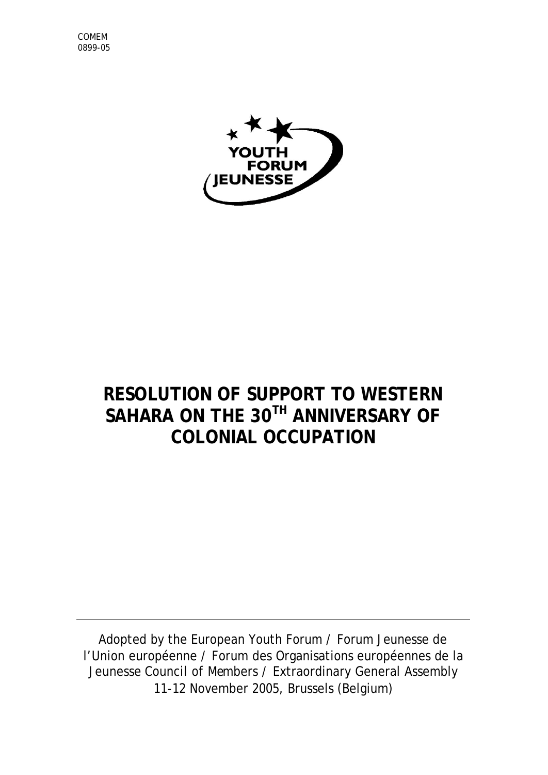



## **RESOLUTION OF SUPPORT TO WESTERN SAHARA ON THE 30TH ANNIVERSARY OF COLONIAL OCCUPATION**

Adopted by the European Youth Forum / Forum Jeunesse de l'Union européenne / Forum des Organisations européennes de la Jeunesse Council of Members / Extraordinary General Assembly 11-12 November 2005, Brussels (Belgium)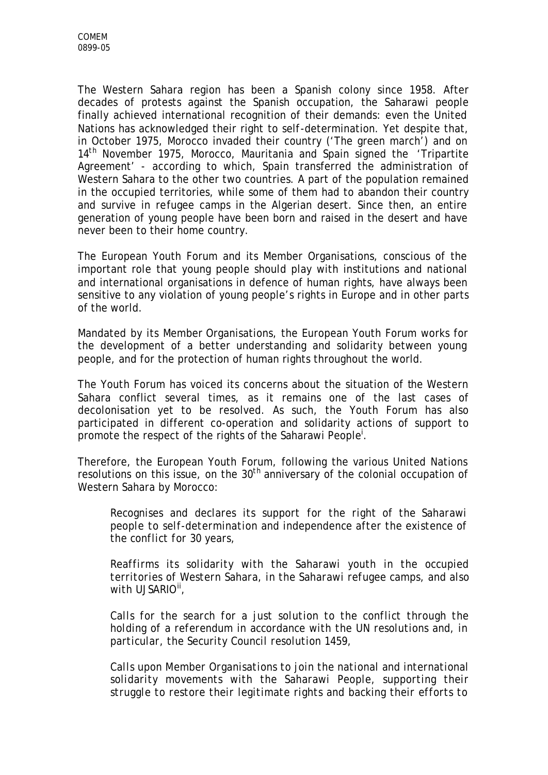The Western Sahara region has been a Spanish colony since 1958. After decades of protests against the Spanish occupation, the Saharawi people finally achieved international recognition of their demands: even the United Nations has acknowledged their right to self-determination. Yet despite that, in October 1975, Morocco invaded their country ('The green march') and on 14<sup>th</sup> November 1975, Morocco, Mauritania and Spain signed the 'Tripartite Agreement' - according to which, Spain transferred the administration of Western Sahara to the other two countries. A part of the population remained in the occupied territories, while some of them had to abandon their country and survive in refugee camps in the Algerian desert. Since then, an entire generation of young people have been born and raised in the desert and have never been to their home country.

The European Youth Forum and its Member Organisations, conscious of the important role that young people should play with institutions and national and international organisations in defence of human rights, have always been sensitive to any violation of young people's rights in Europe and in other parts of the world.

Mandated by its Member Organisations, the European Youth Forum works for the development of a better understanding and solidarity between young people, and for the protection of human rights throughout the world.

The Youth Forum has voiced its concerns about the situation of the Western Sahara conflict several times, as it remains one of the last cases of decolonisation yet to be resolved. As such, the Youth Forum has also participated in different co-operation and solidarity actions of support to promote the respect of the rights of the Saharawi People<sup>i</sup>.

Therefore, the European Youth Forum, following the various United Nations resolutions on this issue, on the  $30<sup>th</sup>$  anniversary of the colonial occupation of Western Sahara by Morocco:

*Recognises and declares its support for the right of the Saharawi people to self-determination and independence after the existence of the conflict for 30 years,*

*Reaffirms its solidarity with the Saharawi youth in the occupied territories of Western Sahara, in the Saharawi refugee camps, and also with UJSARIOii ,*

*Calls for the search for a just solution to the conflict through the holding of a referendum in accordance with the UN resolutions and, in particular, the Security Council resolution 1459,*

*Calls upon Member Organisations to join the national and international solidarity movements with the Saharawi People, supporting their struggle to restore their legitimate rights and backing their efforts to*